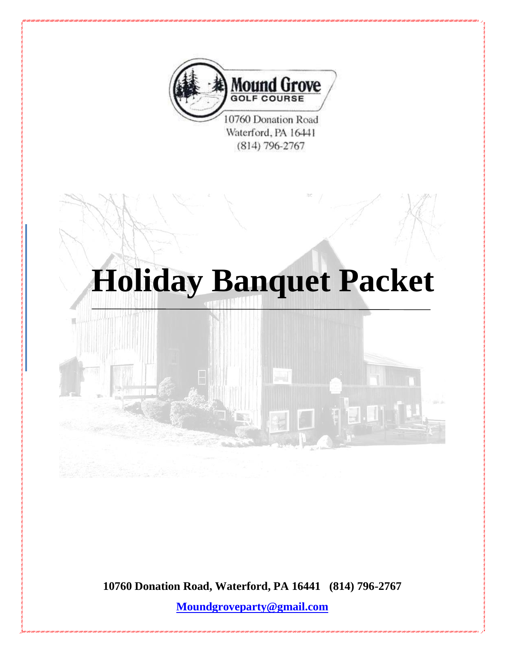

 $(814)$  796-2767

# **Holiday Banquet Packet**



**10760 Donation Road, Waterford, PA 16441 (814) 796-2767**

**[Moundgroveparty@gmail.com](mailto:Moundgroveparty@gmail.com)**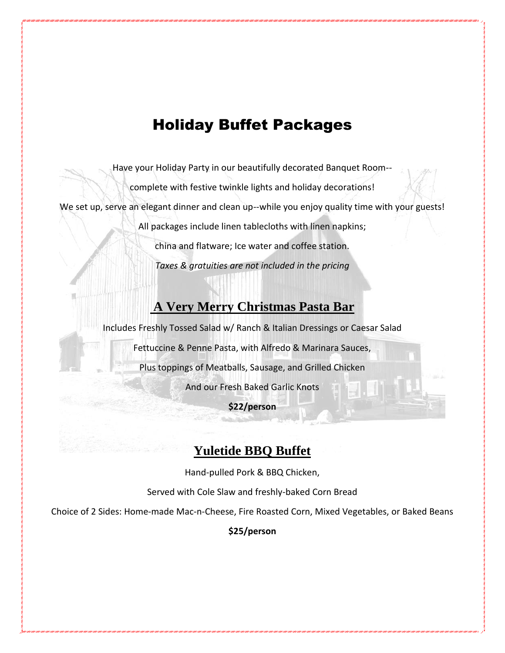# Holiday Buffet Packages

Have your Holiday Party in our beautifully decorated Banquet Room--

complete with festive twinkle lights and holiday decorations!

We set up, serve an elegant dinner and clean up--while you enjoy quality time with your guests!

All packages include linen tablecloths with linen napkins;

china and flatware; Ice water and coffee station.

*Taxes & gratuities are not included in the pricing*

## **A Very Merry Christmas Pasta Bar**

Includes Freshly Tossed Salad w/ Ranch & Italian Dressings or Caesar Salad

Fettuccine & Penne Pasta, with Alfredo & Marinara Sauces,

Plus toppings of Meatballs, Sausage, and Grilled Chicken

And our Fresh Baked Garlic Knots

**\$22/person**

## **Yuletide BBQ Buffet**

Hand-pulled Pork & BBQ Chicken,

Served with Cole Slaw and freshly-baked Corn Bread

Choice of 2 Sides: Home-made Mac-n-Cheese, Fire Roasted Corn, Mixed Vegetables, or Baked Beans

**\$25/person**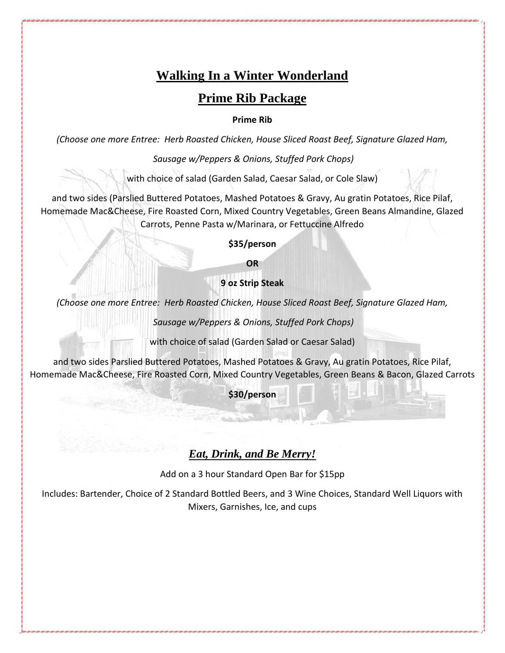## **Walking In a Winter Wonderland**

## **Prime Rib Package**

#### **Prime Rib**

*(Choose one more Entree: Herb Roasted Chicken, House Sliced Roast Beef, Signature Glazed Ham,* 

*Sausage w/Peppers & Onions, Stuffed Pork Chops)*

with choice of salad (Garden Salad, Caesar Salad, or Cole Slaw)

and two sides (Parslied Buttered Potatoes, Mashed Potatoes & Gravy, Au gratin Potatoes, Rice Pilaf, Homemade Mac&Cheese, Fire Roasted Corn, Mixed Country Vegetables, Green Beans Almandine, Glazed Carrots, Penne Pasta w/Marinara, or Fettuccine Alfredo

**\$35/person**

**OR**

**9 oz Strip Steak**

*(Choose one more Entree: Herb Roasted Chicken, House Sliced Roast Beef, Signature Glazed Ham,* 

*Sausage w/Peppers & Onions, Stuffed Pork Chops)*

with choice of salad (Garden Salad or Caesar Salad)

and two sides Parslied Buttered Potatoes, Mashed Potatoes & Gravy, Au gratin Potatoes, Rice Pilaf, Homemade Mac&Cheese, Fire Roasted Corn, Mixed Country Vegetables, Green Beans & Bacon, Glazed Carrots

**\$30/person**

## *Eat, Drink, and Be Merry!*

Add on a 3 hour Standard Open Bar for \$15pp

Includes: Bartender, Choice of 2 Standard Bottled Beers, and 3 Wine Choices, Standard Well Liquors with Mixers, Garnishes, Ice, and cups